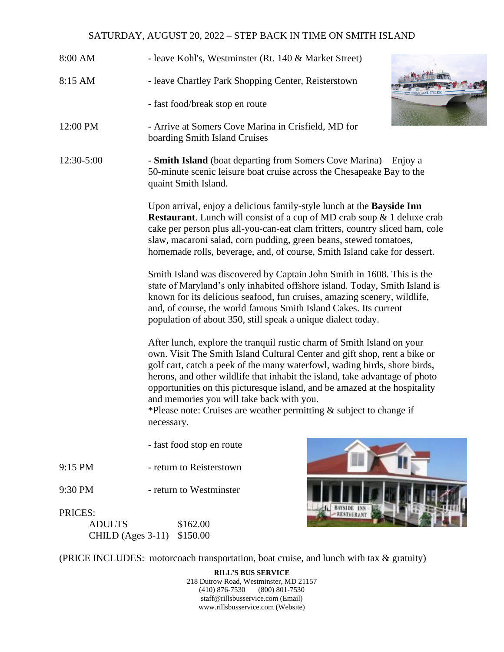## SATURDAY, AUGUST 20, 2022 – STEP BACK IN TIME ON SMITH ISLAND

- 8:00 AM leave Kohl's, Westminster (Rt. 140 & Market Street) 8:15 AM - leave Chartley Park Shopping Center, Reisterstown - fast food/break stop en route 12:00 PM - Arrive at Somers Cove Marina in Crisfield, MD for boarding Smith Island Cruises
- 12:30-5:00 **Smith Island** (boat departing from Somers Cove Marina) Enjoy a 50-minute scenic leisure boat cruise across the Chesapeake Bay to the quaint Smith Island.

Upon arrival, enjoy a delicious family-style lunch at the **Bayside Inn Restaurant**. Lunch will consist of a cup of MD crab soup & 1 deluxe crab cake per person plus all-you-can-eat clam fritters, country sliced ham, cole slaw, macaroni salad, corn pudding, green beans, stewed tomatoes, homemade rolls, beverage, and, of course, Smith Island cake for dessert.

Smith Island was discovered by Captain John Smith in 1608. This is the state of Maryland's only inhabited offshore island. Today, Smith Island is known for its delicious seafood, fun cruises, amazing scenery, wildlife, and, of course, the world famous Smith Island Cakes. Its current population of about 350, still speak a unique dialect today.

After lunch, explore the tranquil rustic charm of Smith Island on your own. Visit The Smith Island Cultural Center and gift shop, rent a bike or golf cart, catch a peek of the many waterfowl, wading birds, shore birds, herons, and other wildlife that inhabit the island, take advantage of photo opportunities on this picturesque island, and be amazed at the hospitality and memories you will take back with you.

\*Please note: Cruises are weather permitting & subject to change if necessary.

- fast food stop en route
- 9:15 PM return to Reisterstown
- 9:30 PM return to Westminster



## PRICES:

| <b>ADULTS</b>              | \$162.00 |
|----------------------------|----------|
| CHILD (Ages 3-11) \$150.00 |          |

(PRICE INCLUDES: motorcoach transportation, boat cruise, and lunch with tax & gratuity)

**RILL'S BUS SERVICE** 218 Dutrow Road, Westminster, MD 21157 (410) 876-7530 (800) 801-7530 staff@rillsbusservice.com (Email) www.rillsbusservice.com (Website)